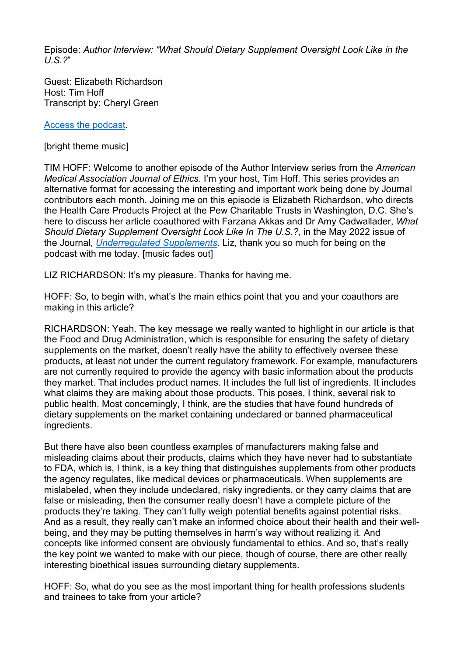Episode: *Author Interview: " What Should Dietary Supplement Oversight Look Like in the U.S.?*"

Guest: Elizabeth Richardson Host: Tim Hoff Transcript by: Cheryl Green

[Access the podcast.](https://journalofethics.ama-assn.org/podcast/author-interview-what-should-dietary-supplement-oversight-look-us)

[bright theme music]

TIM HOFF: Welcome to another episode of the Author Interview series from the *American Medical Association Journal of Ethics*. I'm your host, Tim Hoff. This series provides an alternative format for accessing the interesting and important work being done by Journal contributors each month. Joining me on this episode is Elizabeth Richardson, who directs the Health Care Products Project at the Pew Charitable Trusts in Washington, D.C. She's here to discuss her article coauthored with Farzana Akkas and Dr Amy Cadwallader, *What Should Dietary Supplement Oversight Look Like In The U.S.?*, in the May 2022 issue of the Journal, *[Underregulated Supplements](https://journalofethics.ama-assn.org/issue/unregulated-supplements)*. Liz, thank you so much for being on the podcast with me today. [music fades out]

LIZ RICHARDSON: It's my pleasure. Thanks for having me.

HOFF: So, to begin with, what's the main ethics point that you and your coauthors are making in this article?

RICHARDSON: Yeah. The key message we really wanted to highlight in our article is that the Food and Drug Administration, which is responsible for ensuring the safety of dietary supplements on the market, doesn't really have the ability to effectively oversee these products, at least not under the current regulatory framework. For example, manufacturers are not currently required to provide the agency with basic information about the products they market. That includes product names. It includes the full list of ingredients. It includes what claims they are making about those products. This poses, I think, several risk to public health. Most concerningly, I think, are the studies that have found hundreds of dietary supplements on the market containing undeclared or banned pharmaceutical ingredients.

But there have also been countless examples of manufacturers making false and misleading claims about their products, claims which they have never had to substantiate to FDA, which is, I think, is a key thing that distinguishes supplements from other products the agency regulates, like medical devices or pharmaceuticals. When supplements are mislabeled, when they include undeclared, risky ingredients, or they carry claims that are false or misleading, then the consumer really doesn't have a complete picture of the products they're taking. They can't fully weigh potential benefits against potential risks. And as a result, they really can't make an informed choice about their health and their wellbeing, and they may be putting themselves in harm's way without realizing it. And concepts like informed consent are obviously fundamental to ethics. And so, that's really the key point we wanted to make with our piece, though of course, there are other really interesting bioethical issues surrounding dietary supplements.

HOFF: So, what do you see as the most important thing for health professions students and trainees to take from your article?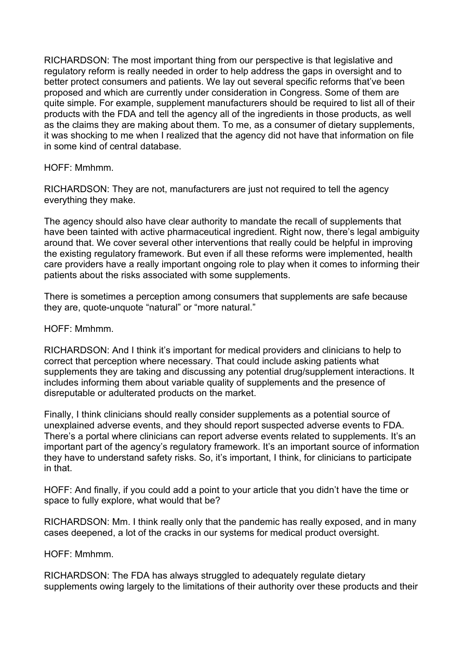RICHARDSON: The most important thing from our perspective is that legislative and regulatory reform is really needed in order to help address the gaps in oversight and to better protect consumers and patients. We lay out several specific reforms that've been proposed and which are currently under consideration in Congress. Some of them are quite simple. For example, supplement manufacturers should be required to list all of their products with the FDA and tell the agency all of the ingredients in those products, as well as the claims they are making about them. To me, as a consumer of dietary supplements, it was shocking to me when I realized that the agency did not have that information on file in some kind of central database.

HOFF: Mmhmm.

RICHARDSON: They are not, manufacturers are just not required to tell the agency everything they make.

The agency should also have clear authority to mandate the recall of supplements that have been tainted with active pharmaceutical ingredient. Right now, there's legal ambiguity around that. We cover several other interventions that really could be helpful in improving the existing regulatory framework. But even if all these reforms were implemented, health care providers have a really important ongoing role to play when it comes to informing their patients about the risks associated with some supplements.

There is sometimes a perception among consumers that supplements are safe because they are, quote-unquote "natural" or "more natural."

HOFF: Mmhmm.

RICHARDSON: And I think it's important for medical providers and clinicians to help to correct that perception where necessary. That could include asking patients what supplements they are taking and discussing any potential drug/supplement interactions. It includes informing them about variable quality of supplements and the presence of disreputable or adulterated products on the market.

Finally, I think clinicians should really consider supplements as a potential source of unexplained adverse events, and they should report suspected adverse events to FDA. There's a portal where clinicians can report adverse events related to supplements. It's an important part of the agency's regulatory framework. It's an important source of information they have to understand safety risks. So, it's important, I think, for clinicians to participate in that.

HOFF: And finally, if you could add a point to your article that you didn't have the time or space to fully explore, what would that be?

RICHARDSON: Mm. I think really only that the pandemic has really exposed, and in many cases deepened, a lot of the cracks in our systems for medical product oversight.

HOFF: Mmhmm.

RICHARDSON: The FDA has always struggled to adequately regulate dietary supplements owing largely to the limitations of their authority over these products and their